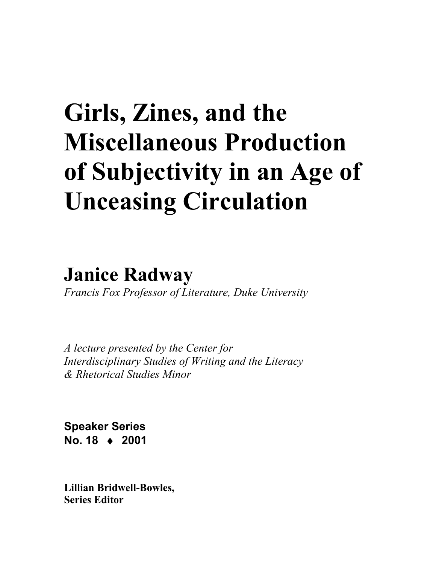# **Girls, Zines, and the Miscellaneous Production of Subjectivity in an Age of Unceasing Circulation**

**Janice Radway**

*Francis Fox Professor of Literature, Duke University* 

*A lecture presented by the Center for Interdisciplinary Studies of Writing and the Literacy & Rhetorical Studies Minor* 

**Speaker Series No. 18** ♦ **2001** 

**Lillian Bridwell-Bowles, Series Editor**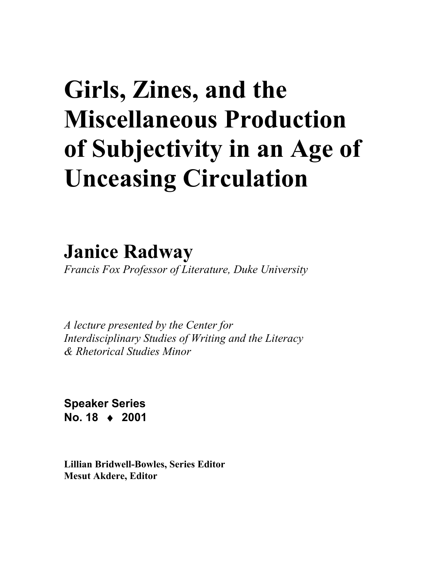# **Girls, Zines, and the Miscellaneous Production of Subjectivity in an Age of Unceasing Circulation**

**Janice Radway**

*Francis Fox Professor of Literature, Duke University* 

*A lecture presented by the Center for Interdisciplinary Studies of Writing and the Literacy & Rhetorical Studies Minor* 

**Speaker Series No. 18** ♦ **2001** 

**Lillian Bridwell-Bowles, Series Editor Mesut Akdere, Editor**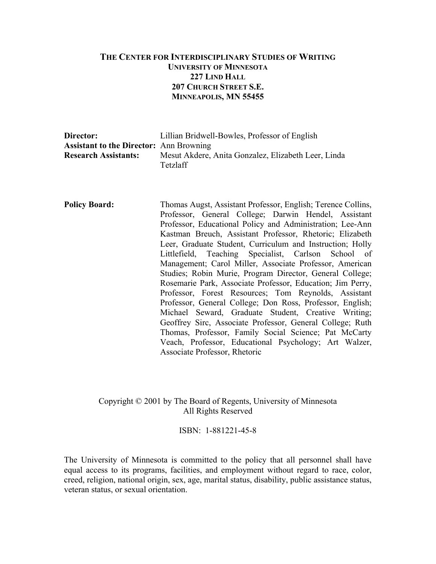#### **THE CENTER FOR INTERDISCIPLINARY STUDIES OF WRITING UNIVERSITY OF MINNESOTA 227 LIND HALL 207 CHURCH STREET S.E. MINNEAPOLIS, MN 55455**

| Director:                                      | Lillian Bridwell-Bowles, Professor of English                   |
|------------------------------------------------|-----------------------------------------------------------------|
| <b>Assistant to the Director:</b> Ann Browning |                                                                 |
| <b>Research Assistants:</b>                    | Mesut Akdere, Anita Gonzalez, Elizabeth Leer, Linda<br>Tetzlaff |

**Policy Board:** Thomas Augst, Assistant Professor, English; Terence Collins, Professor, General College; Darwin Hendel, Assistant Professor, Educational Policy and Administration; Lee-Ann Kastman Breuch, Assistant Professor, Rhetoric; Elizabeth Leer, Graduate Student, Curriculum and Instruction; Holly Littlefield, Teaching Specialist, Carlson School of Management; Carol Miller, Associate Professor, American Studies; Robin Murie, Program Director, General College; Rosemarie Park, Associate Professor, Education; Jim Perry, Professor, Forest Resources; Tom Reynolds, Assistant Professor, General College; Don Ross, Professor, English; Michael Seward, Graduate Student, Creative Writing; Geoffrey Sirc, Associate Professor, General College; Ruth Thomas, Professor, Family Social Science; Pat McCarty Veach, Professor, Educational Psychology; Art Walzer, Associate Professor, Rhetoric

#### Copyright © 2001 by The Board of Regents, University of Minnesota All Rights Reserved

ISBN: 1-881221-45-8

The University of Minnesota is committed to the policy that all personnel shall have equal access to its programs, facilities, and employment without regard to race, color, creed, religion, national origin, sex, age, marital status, disability, public assistance status, veteran status, or sexual orientation.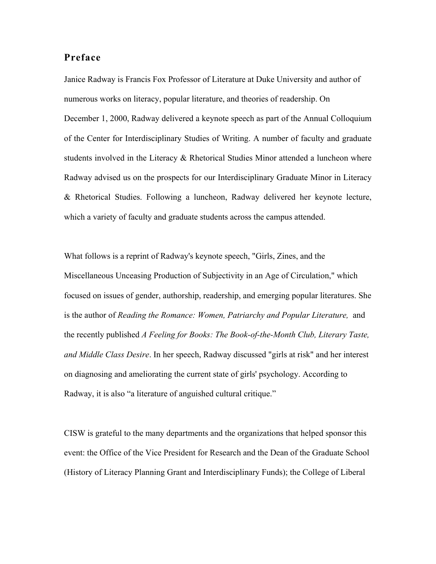### **Preface**

Janice Radway is Francis Fox Professor of Literature at Duke University and author of numerous works on literacy, popular literature, and theories of readership. On December 1, 2000, Radway delivered a keynote speech as part of the Annual Colloquium of the Center for Interdisciplinary Studies of Writing. A number of faculty and graduate students involved in the Literacy & Rhetorical Studies Minor attended a luncheon where Radway advised us on the prospects for our Interdisciplinary Graduate Minor in Literacy & Rhetorical Studies. Following a luncheon, Radway delivered her keynote lecture, which a variety of faculty and graduate students across the campus attended.

What follows is a reprint of Radway's keynote speech, "Girls, Zines, and the Miscellaneous Unceasing Production of Subjectivity in an Age of Circulation," which focused on issues of gender, authorship, readership, and emerging popular literatures. She is the author of *Reading the Romance: Women, Patriarchy and Popular Literature,* and the recently published *A Feeling for Books: The Book-of-the-Month Club, Literary Taste, and Middle Class Desire*. In her speech, Radway discussed "girls at risk" and her interest on diagnosing and ameliorating the current state of girls' psychology. According to Radway, it is also "a literature of anguished cultural critique."

CISW is grateful to the many departments and the organizations that helped sponsor this event: the Office of the Vice President for Research and the Dean of the Graduate School (History of Literacy Planning Grant and Interdisciplinary Funds); the College of Liberal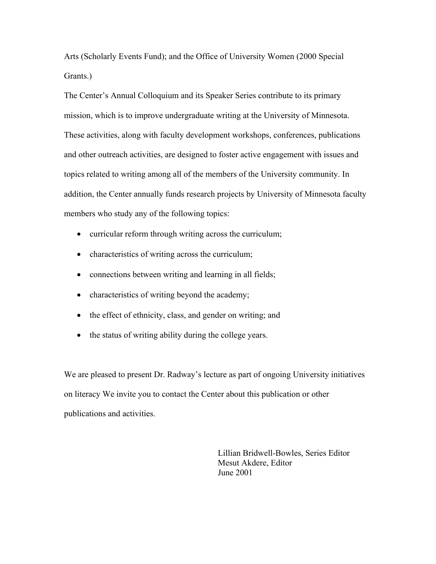Arts (Scholarly Events Fund); and the Office of University Women (2000 Special Grants.)

The Center's Annual Colloquium and its Speaker Series contribute to its primary mission, which is to improve undergraduate writing at the University of Minnesota. These activities, along with faculty development workshops, conferences, publications and other outreach activities, are designed to foster active engagement with issues and topics related to writing among all of the members of the University community. In addition, the Center annually funds research projects by University of Minnesota faculty members who study any of the following topics:

- curricular reform through writing across the curriculum;
- characteristics of writing across the curriculum;
- connections between writing and learning in all fields;
- characteristics of writing beyond the academy;
- the effect of ethnicity, class, and gender on writing; and
- the status of writing ability during the college years.

We are pleased to present Dr. Radway's lecture as part of ongoing University initiatives on literacy We invite you to contact the Center about this publication or other publications and activities.

> Lillian Bridwell-Bowles, Series Editor Mesut Akdere, Editor June 2001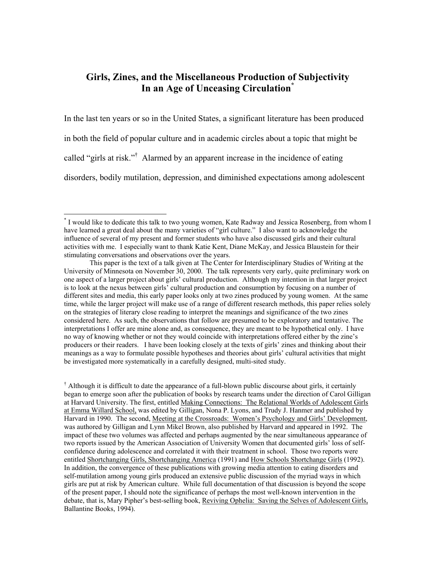### **Girls, Zines, and the Miscellaneous Production of Subjectivity In an Age of Unceasing Circulation[\\*](#page-5-0)**

In the last ten years or so in the United States, a significant literature has been produced in both the field of popular culture and in academic circles about a topic that might be called "girls at risk."<sup>†</sup> Alarmed by an apparent increase in the incidence of eating disorders, bodily mutilation, depression, and diminished expectations among adolescent

 $\overline{a}$ 

<span id="page-5-0"></span><sup>\*</sup> I would like to dedicate this talk to two young women, Kate Radway and Jessica Rosenberg, from whom I have learned a great deal about the many varieties of "girl culture." I also want to acknowledge the influence of several of my present and former students who have also discussed girls and their cultural activities with me. I especially want to thank Katie Kent, Diane McKay, and Jessica Blaustein for their stimulating conversations and observations over the years.

This paper is the text of a talk given at The Center for Interdisciplinary Studies of Writing at the University of Minnesota on November 30, 2000. The talk represents very early, quite preliminary work on one aspect of a larger project about girls' cultural production. Although my intention in that larger project is to look at the nexus between girls' cultural production and consumption by focusing on a number of different sites and media, this early paper looks only at two zines produced by young women. At the same time, while the larger project will make use of a range of different research methods, this paper relies solely on the strategies of literary close reading to interpret the meanings and significance of the two zines considered here. As such, the observations that follow are presumed to be exploratory and tentative. The interpretations I offer are mine alone and, as consequence, they are meant to be hypothetical only. I have no way of knowing whether or not they would coincide with interpretations offered either by the zine's producers or their readers. I have been looking closely at the texts of girls' zines and thinking about their meanings as a way to formulate possible hypotheses and theories about girls' cultural activities that might be investigated more systematically in a carefully designed, multi-sited study.

<span id="page-5-1"></span><sup>&</sup>lt;sup>†</sup> Although it is difficult to date the appearance of a full-blown public discourse about girls, it certainly began to emerge soon after the publication of books by research teams under the direction of Carol Gilligan at Harvard University. The first, entitled Making Connections: The Relational Worlds of Adolescent Girls at Emma Willard School, was edited by Gilligan, Nona P. Lyons, and Trudy J. Hanmer and published by Harvard in 1990. The second, Meeting at the Crossroads: Women's Psychology and Girls' Development, was authored by Gilligan and Lynn Mikel Brown, also published by Harvard and appeared in 1992. The impact of these two volumes was affected and perhaps augmented by the near simultaneous appearance of two reports issued by the American Association of University Women that documented girls' loss of selfconfidence during adolescence and correlated it with their treatment in school. Those two reports were entitled Shortchanging Girls, Shortchanging America (1991) and How Schools Shortchange Girls (1992). In addition, the convergence of these publications with growing media attention to eating disorders and self-mutilation among young girls produced an extensive public discussion of the myriad ways in which girls are put at risk by American culture. While full documentation of that discussion is beyond the scope of the present paper, I should note the significance of perhaps the most well-known intervention in the debate, that is, Mary Pipher's best-selling book, Reviving Ophelia: Saving the Selves of Adolescent Girls, Ballantine Books, 1994).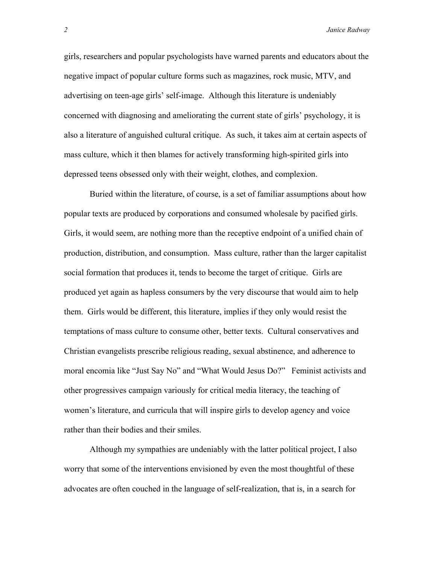girls, researchers and popular psychologists have warned parents and educators about the negative impact of popular culture forms such as magazines, rock music, MTV, and advertising on teen-age girls' self-image. Although this literature is undeniably concerned with diagnosing and ameliorating the current state of girls' psychology, it is also a literature of anguished cultural critique. As such, it takes aim at certain aspects of mass culture, which it then blames for actively transforming high-spirited girls into depressed teens obsessed only with their weight, clothes, and complexion.

Buried within the literature, of course, is a set of familiar assumptions about how popular texts are produced by corporations and consumed wholesale by pacified girls. Girls, it would seem, are nothing more than the receptive endpoint of a unified chain of production, distribution, and consumption. Mass culture, rather than the larger capitalist social formation that produces it, tends to become the target of critique. Girls are produced yet again as hapless consumers by the very discourse that would aim to help them. Girls would be different, this literature, implies if they only would resist the temptations of mass culture to consume other, better texts. Cultural conservatives and Christian evangelists prescribe religious reading, sexual abstinence, and adherence to moral encomia like "Just Say No" and "What Would Jesus Do?" Feminist activists and other progressives campaign variously for critical media literacy, the teaching of women's literature, and curricula that will inspire girls to develop agency and voice rather than their bodies and their smiles.

 Although my sympathies are undeniably with the latter political project, I also worry that some of the interventions envisioned by even the most thoughtful of these advocates are often couched in the language of self-realization, that is, in a search for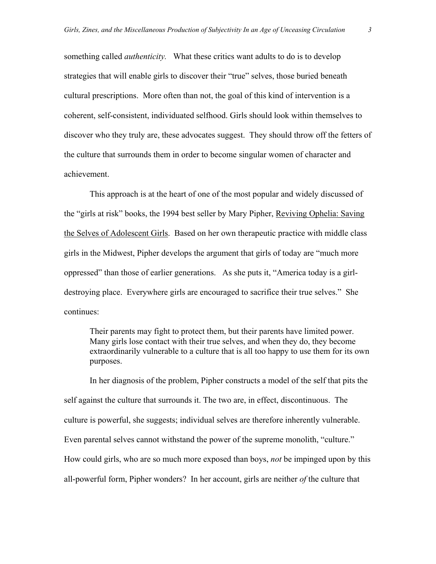something called *authenticity.* What these critics want adults to do is to develop strategies that will enable girls to discover their "true" selves, those buried beneath cultural prescriptions. More often than not, the goal of this kind of intervention is a coherent, self-consistent, individuated selfhood. Girls should look within themselves to discover who they truly are, these advocates suggest. They should throw off the fetters of the culture that surrounds them in order to become singular women of character and achievement.

 This approach is at the heart of one of the most popular and widely discussed of the "girls at risk" books, the 1994 best seller by Mary Pipher, Reviving Ophelia: Saving the Selves of Adolescent Girls. Based on her own therapeutic practice with middle class girls in the Midwest, Pipher develops the argument that girls of today are "much more oppressed" than those of earlier generations. As she puts it, "America today is a girldestroying place. Everywhere girls are encouraged to sacrifice their true selves." She continues:

Their parents may fight to protect them, but their parents have limited power. Many girls lose contact with their true selves, and when they do, they become extraordinarily vulnerable to a culture that is all too happy to use them for its own purposes.

 In her diagnosis of the problem, Pipher constructs a model of the self that pits the self against the culture that surrounds it. The two are, in effect, discontinuous. The culture is powerful, she suggests; individual selves are therefore inherently vulnerable. Even parental selves cannot withstand the power of the supreme monolith, "culture." How could girls, who are so much more exposed than boys, *not* be impinged upon by this all-powerful form, Pipher wonders? In her account, girls are neither *of* the culture that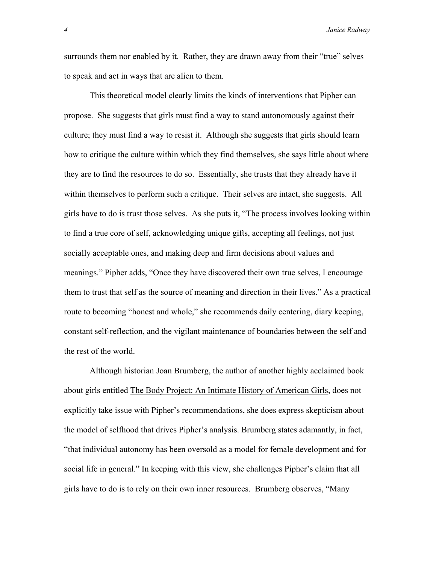surrounds them nor enabled by it. Rather, they are drawn away from their "true" selves to speak and act in ways that are alien to them.

 This theoretical model clearly limits the kinds of interventions that Pipher can propose. She suggests that girls must find a way to stand autonomously against their culture; they must find a way to resist it. Although she suggests that girls should learn how to critique the culture within which they find themselves, she says little about where they are to find the resources to do so. Essentially, she trusts that they already have it within themselves to perform such a critique. Their selves are intact, she suggests. All girls have to do is trust those selves. As she puts it, "The process involves looking within to find a true core of self, acknowledging unique gifts, accepting all feelings, not just socially acceptable ones, and making deep and firm decisions about values and meanings." Pipher adds, "Once they have discovered their own true selves, I encourage them to trust that self as the source of meaning and direction in their lives." As a practical route to becoming "honest and whole," she recommends daily centering, diary keeping, constant self-reflection, and the vigilant maintenance of boundaries between the self and the rest of the world.

 Although historian Joan Brumberg, the author of another highly acclaimed book about girls entitled The Body Project: An Intimate History of American Girls, does not explicitly take issue with Pipher's recommendations, she does express skepticism about the model of selfhood that drives Pipher's analysis. Brumberg states adamantly, in fact, "that individual autonomy has been oversold as a model for female development and for social life in general." In keeping with this view, she challenges Pipher's claim that all girls have to do is to rely on their own inner resources. Brumberg observes, "Many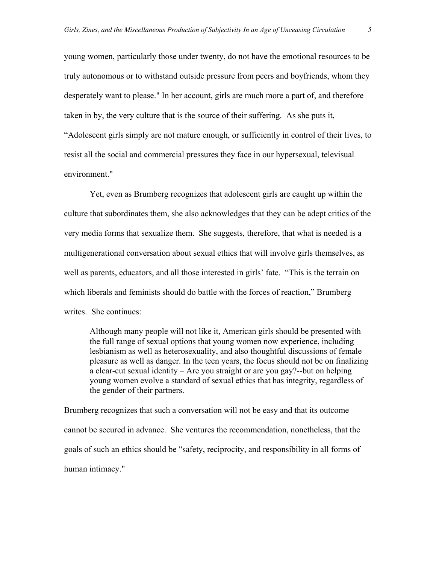young women, particularly those under twenty, do not have the emotional resources to be truly autonomous or to withstand outside pressure from peers and boyfriends, whom they desperately want to please." In her account, girls are much more a part of, and therefore taken in by, the very culture that is the source of their suffering. As she puts it, "Adolescent girls simply are not mature enough, or sufficiently in control of their lives, to resist all the social and commercial pressures they face in our hypersexual, televisual environment."

 Yet, even as Brumberg recognizes that adolescent girls are caught up within the culture that subordinates them, she also acknowledges that they can be adept critics of the very media forms that sexualize them. She suggests, therefore, that what is needed is a multigenerational conversation about sexual ethics that will involve girls themselves, as well as parents, educators, and all those interested in girls' fate. "This is the terrain on which liberals and feminists should do battle with the forces of reaction," Brumberg writes. She continues:

Although many people will not like it, American girls should be presented with the full range of sexual options that young women now experience, including lesbianism as well as heterosexuality, and also thoughtful discussions of female pleasure as well as danger. In the teen years, the focus should not be on finalizing a clear-cut sexual identity – Are you straight or are you gay?--but on helping young women evolve a standard of sexual ethics that has integrity, regardless of the gender of their partners.

Brumberg recognizes that such a conversation will not be easy and that its outcome cannot be secured in advance. She ventures the recommendation, nonetheless, that the goals of such an ethics should be "safety, reciprocity, and responsibility in all forms of human intimacy."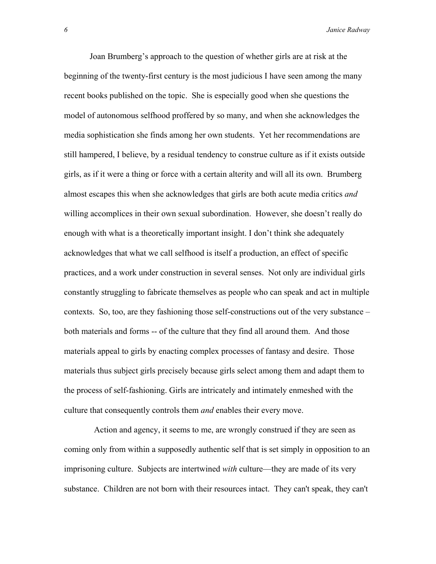Joan Brumberg's approach to the question of whether girls are at risk at the beginning of the twenty-first century is the most judicious I have seen among the many recent books published on the topic. She is especially good when she questions the model of autonomous selfhood proffered by so many, and when she acknowledges the media sophistication she finds among her own students. Yet her recommendations are still hampered, I believe, by a residual tendency to construe culture as if it exists outside girls, as if it were a thing or force with a certain alterity and will all its own. Brumberg almost escapes this when she acknowledges that girls are both acute media critics *and* willing accomplices in their own sexual subordination. However, she doesn't really do enough with what is a theoretically important insight. I don't think she adequately acknowledges that what we call selfhood is itself a production, an effect of specific practices, and a work under construction in several senses. Not only are individual girls constantly struggling to fabricate themselves as people who can speak and act in multiple contexts. So, too, are they fashioning those self-constructions out of the very substance – both materials and forms -- of the culture that they find all around them. And those materials appeal to girls by enacting complex processes of fantasy and desire. Those materials thus subject girls precisely because girls select among them and adapt them to the process of self-fashioning. Girls are intricately and intimately enmeshed with the culture that consequently controls them *and* enables their every move.

 Action and agency, it seems to me, are wrongly construed if they are seen as coming only from within a supposedly authentic self that is set simply in opposition to an imprisoning culture. Subjects are intertwined *with* culture—they are made of its very substance. Children are not born with their resources intact. They can't speak, they can't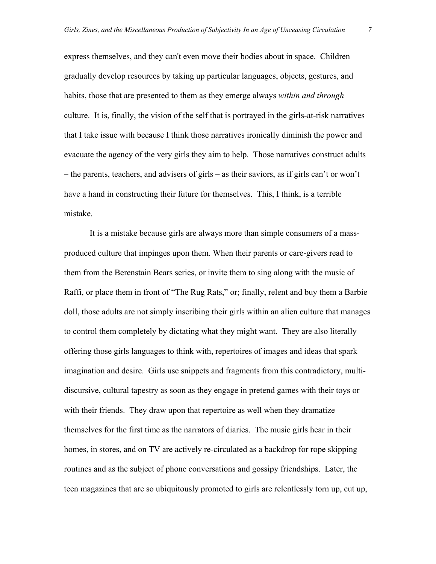express themselves, and they can't even move their bodies about in space. Children gradually develop resources by taking up particular languages, objects, gestures, and habits, those that are presented to them as they emerge always *within and through*  culture. It is, finally, the vision of the self that is portrayed in the girls-at-risk narratives that I take issue with because I think those narratives ironically diminish the power and evacuate the agency of the very girls they aim to help. Those narratives construct adults – the parents, teachers, and advisers of girls – as their saviors, as if girls can't or won't have a hand in constructing their future for themselves. This, I think, is a terrible mistake.

 It is a mistake because girls are always more than simple consumers of a massproduced culture that impinges upon them. When their parents or care-givers read to them from the Berenstain Bears series, or invite them to sing along with the music of Raffi, or place them in front of "The Rug Rats," or; finally, relent and buy them a Barbie doll, those adults are not simply inscribing their girls within an alien culture that manages to control them completely by dictating what they might want. They are also literally offering those girls languages to think with, repertoires of images and ideas that spark imagination and desire. Girls use snippets and fragments from this contradictory, multidiscursive, cultural tapestry as soon as they engage in pretend games with their toys or with their friends. They draw upon that repertoire as well when they dramatize themselves for the first time as the narrators of diaries. The music girls hear in their homes, in stores, and on TV are actively re-circulated as a backdrop for rope skipping routines and as the subject of phone conversations and gossipy friendships. Later, the teen magazines that are so ubiquitously promoted to girls are relentlessly torn up, cut up,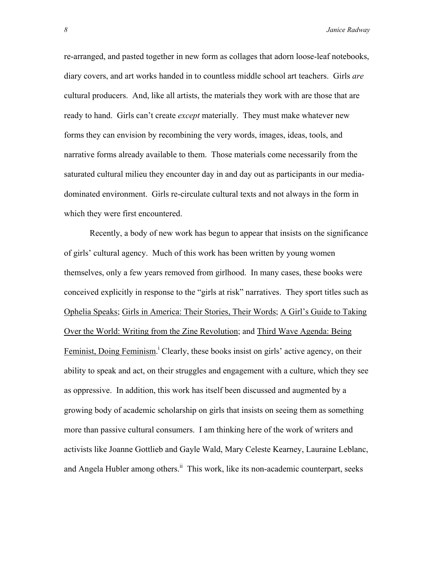re-arranged, and pasted together in new form as collages that adorn loose-leaf notebooks, diary covers, and art works handed in to countless middle school art teachers. Girls *are* cultural producers. And, like all artists, the materials they work with are those that are ready to hand. Girls can't create *except* materially. They must make whatever new forms they can envision by recombining the very words, images, ideas, tools, and narrative forms already available to them. Those materials come necessarily from the saturated cultural milieu they encounter day in and day out as participants in our mediadominated environment. Girls re-circulate cultural texts and not always in the form in which they were first encountered.

 Recently, a body of new work has begun to appear that insists on the significance of girls' cultural agency. Much of this work has been written by young women themselves, only a few years removed from girlhood. In many cases, these books were conceived explicitly in response to the "girls at risk" narratives. They sport titles such as Ophelia Speaks; Girls in America: Their Stories, Their Words; A Girl's Guide to Taking Over the World: Writing from the Zine Revolution; and Third Wave Agenda: Being Feminist,Doing Feminism.<sup>i</sup> Clearly, these books insist on girls' active agency, on their ability to speak and act, on their struggles and engagement with a culture, which they see as oppressive. In addition, this work has itself been discussed and augmented by a growing body of academic scholarship on girls that insists on seeing them as something more than passive cultural consumers. I am thinking here of the work of writers and activists like Joanne Gottlieb and Gayle Wald, Mary Celeste Kearney, Lauraine Leblanc, and Angela Hubler among others.<sup>ii</sup> This work, like its non-academic counterpart, seeks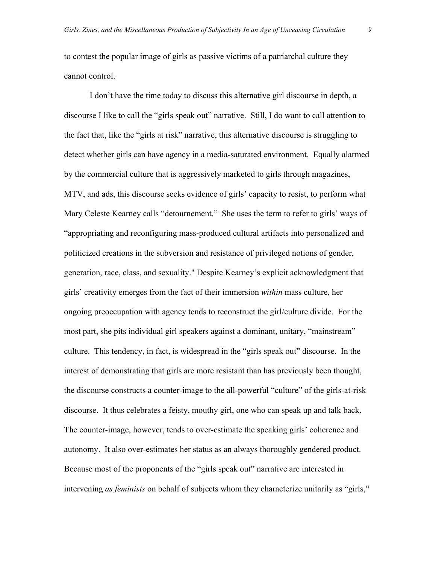to contest the popular image of girls as passive victims of a patriarchal culture they cannot control.

 I don't have the time today to discuss this alternative girl discourse in depth, a discourse I like to call the "girls speak out" narrative. Still, I do want to call attention to the fact that, like the "girls at risk" narrative, this alternative discourse is struggling to detect whether girls can have agency in a media-saturated environment. Equally alarmed by the commercial culture that is aggressively marketed to girls through magazines, MTV, and ads, this discourse seeks evidence of girls' capacity to resist, to perform what Mary Celeste Kearney calls "detournement." She uses the term to refer to girls' ways of "appropriating and reconfiguring mass-produced cultural artifacts into personalized and politicized creations in the subversion and resistance of privileged notions of gender, generation, race, class, and sexuality." Despite Kearney's explicit acknowledgment that girls' creativity emerges from the fact of their immersion *within* mass culture, her ongoing preoccupation with agency tends to reconstruct the girl/culture divide. For the most part, she pits individual girl speakers against a dominant, unitary, "mainstream" culture. This tendency, in fact, is widespread in the "girls speak out" discourse. In the interest of demonstrating that girls are more resistant than has previously been thought, the discourse constructs a counter-image to the all-powerful "culture" of the girls-at-risk discourse. It thus celebrates a feisty, mouthy girl, one who can speak up and talk back. The counter-image, however, tends to over-estimate the speaking girls' coherence and autonomy. It also over-estimates her status as an always thoroughly gendered product. Because most of the proponents of the "girls speak out" narrative are interested in intervening *as feminists* on behalf of subjects whom they characterize unitarily as "girls,"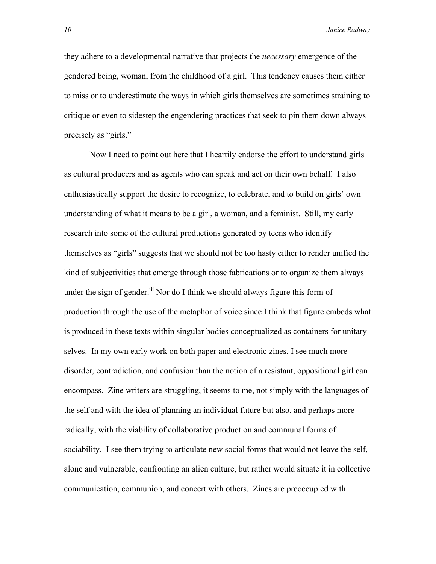they adhere to a developmental narrative that projects the *necessary* emergence of the gendered being, woman, from the childhood of a girl. This tendency causes them either to miss or to underestimate the ways in which girls themselves are sometimes straining to critique or even to sidestep the engendering practices that seek to pin them down always precisely as "girls."

 Now I need to point out here that I heartily endorse the effort to understand girls as cultural producers and as agents who can speak and act on their own behalf. I also enthusiastically support the desire to recognize, to celebrate, and to build on girls' own understanding of what it means to be a girl, a woman, and a feminist. Still, my early research into some of the cultural productions generated by teens who identify themselves as "girls" suggests that we should not be too hasty either to render unified the kind of subjectivities that emerge through those fabrications or to organize them always under the sign of gender.<sup>iii</sup> Nor do I think we should always figure this form of production through the use of the metaphor of voice since I think that figure embeds what is produced in these texts within singular bodies conceptualized as containers for unitary selves. In my own early work on both paper and electronic zines, I see much more disorder, contradiction, and confusion than the notion of a resistant, oppositional girl can encompass. Zine writers are struggling, it seems to me, not simply with the languages of the self and with the idea of planning an individual future but also, and perhaps more radically, with the viability of collaborative production and communal forms of sociability. I see them trying to articulate new social forms that would not leave the self, alone and vulnerable, confronting an alien culture, but rather would situate it in collective communication, communion, and concert with others. Zines are preoccupied with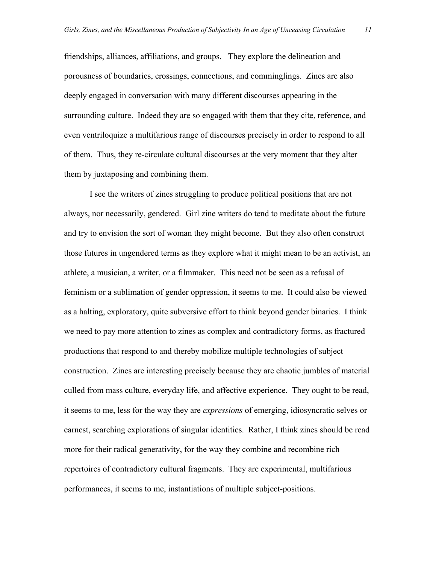friendships, alliances, affiliations, and groups. They explore the delineation and porousness of boundaries, crossings, connections, and comminglings. Zines are also deeply engaged in conversation with many different discourses appearing in the surrounding culture. Indeed they are so engaged with them that they cite, reference, and even ventriloquize a multifarious range of discourses precisely in order to respond to all of them. Thus, they re-circulate cultural discourses at the very moment that they alter them by juxtaposing and combining them.

 I see the writers of zines struggling to produce political positions that are not always, nor necessarily, gendered. Girl zine writers do tend to meditate about the future and try to envision the sort of woman they might become. But they also often construct those futures in ungendered terms as they explore what it might mean to be an activist, an athlete, a musician, a writer, or a filmmaker. This need not be seen as a refusal of feminism or a sublimation of gender oppression, it seems to me. It could also be viewed as a halting, exploratory, quite subversive effort to think beyond gender binaries. I think we need to pay more attention to zines as complex and contradictory forms, as fractured productions that respond to and thereby mobilize multiple technologies of subject construction. Zines are interesting precisely because they are chaotic jumbles of material culled from mass culture, everyday life, and affective experience. They ought to be read, it seems to me, less for the way they are *expressions* of emerging, idiosyncratic selves or earnest, searching explorations of singular identities. Rather, I think zines should be read more for their radical generativity, for the way they combine and recombine rich repertoires of contradictory cultural fragments. They are experimental, multifarious performances, it seems to me, instantiations of multiple subject-positions.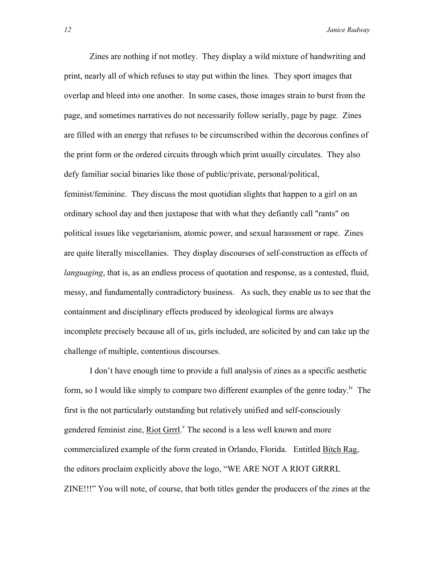Zines are nothing if not motley. They display a wild mixture of handwriting and print, nearly all of which refuses to stay put within the lines. They sport images that overlap and bleed into one another. In some cases, those images strain to burst from the page, and sometimes narratives do not necessarily follow serially, page by page. Zines are filled with an energy that refuses to be circumscribed within the decorous confines of the print form or the ordered circuits through which print usually circulates. They also defy familiar social binaries like those of public/private, personal/political, feminist/feminine. They discuss the most quotidian slights that happen to a girl on an ordinary school day and then juxtapose that with what they defiantly call "rants" on political issues like vegetarianism, atomic power, and sexual harassment or rape. Zines are quite literally miscellanies. They display discourses of self-construction as effects of *languaging*, that is, as an endless process of quotation and response, as a contested, fluid, messy, and fundamentally contradictory business. As such, they enable us to see that the containment and disciplinary effects produced by ideological forms are always incomplete precisely because all of us, girls included, are solicited by and can take up the challenge of multiple, contentious discourses.

 I don't have enough time to provide a full analysis of zines as a specific aesthetic form, so I would like simply to compare two different examples of the genre today.<sup>iv</sup> The first is the not particularly outstanding but relatively unified and self-consciously gendered feminist zine, Riot Grrrl.<sup>V</sup> The second is a less well known and more commercialized example of the form created in Orlando, Florida. Entitled Bitch Rag, the editors proclaim explicitly above the logo, "WE ARE NOT A RIOT GRRRL ZINE!!!" You will note, of course, that both titles gender the producers of the zines at the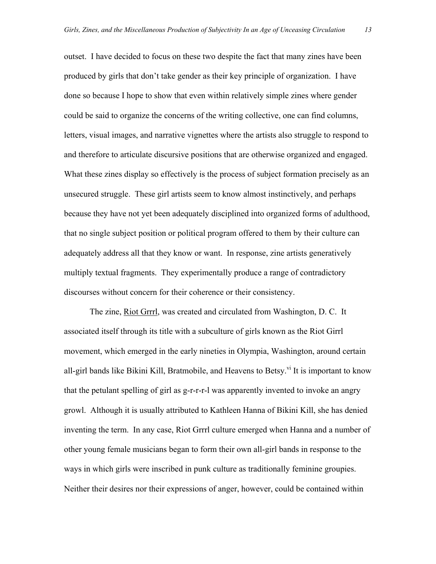outset. I have decided to focus on these two despite the fact that many zines have been produced by girls that don't take gender as their key principle of organization. I have done so because I hope to show that even within relatively simple zines where gender could be said to organize the concerns of the writing collective, one can find columns, letters, visual images, and narrative vignettes where the artists also struggle to respond to and therefore to articulate discursive positions that are otherwise organized and engaged. What these zines display so effectively is the process of subject formation precisely as an unsecured struggle. These girl artists seem to know almost instinctively, and perhaps because they have not yet been adequately disciplined into organized forms of adulthood, that no single subject position or political program offered to them by their culture can adequately address all that they know or want. In response, zine artists generatively multiply textual fragments. They experimentally produce a range of contradictory discourses without concern for their coherence or their consistency.

 The zine, Riot Grrrl, was created and circulated from Washington, D. C. It associated itself through its title with a subculture of girls known as the Riot Girrl movement, which emerged in the early nineties in Olympia, Washington, around certain all-girl bands like Bikini Kill, Bratmobile, and Heavens to Betsy.<sup>vi</sup> It is important to know that the petulant spelling of girl as g-r-r-r-l was apparently invented to invoke an angry growl. Although it is usually attributed to Kathleen Hanna of Bikini Kill, she has denied inventing the term. In any case, Riot Grrrl culture emerged when Hanna and a number of other young female musicians began to form their own all-girl bands in response to the ways in which girls were inscribed in punk culture as traditionally feminine groupies. Neither their desires nor their expressions of anger, however, could be contained within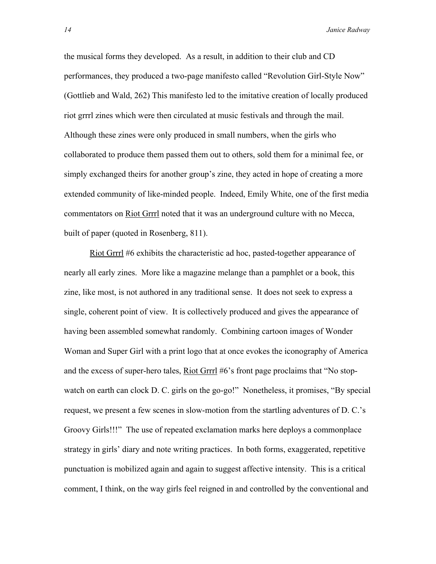the musical forms they developed. As a result, in addition to their club and CD performances, they produced a two-page manifesto called "Revolution Girl-Style Now" (Gottlieb and Wald, 262) This manifesto led to the imitative creation of locally produced riot grrrl zines which were then circulated at music festivals and through the mail. Although these zines were only produced in small numbers, when the girls who collaborated to produce them passed them out to others, sold them for a minimal fee, or simply exchanged theirs for another group's zine, they acted in hope of creating a more extended community of like-minded people. Indeed, Emily White, one of the first media commentators on Riot Grrrl noted that it was an underground culture with no Mecca, built of paper (quoted in Rosenberg, 811).

 Riot Grrrl #6 exhibits the characteristic ad hoc, pasted-together appearance of nearly all early zines. More like a magazine melange than a pamphlet or a book, this zine, like most, is not authored in any traditional sense. It does not seek to express a single, coherent point of view. It is collectively produced and gives the appearance of having been assembled somewhat randomly. Combining cartoon images of Wonder Woman and Super Girl with a print logo that at once evokes the iconography of America and the excess of super-hero tales, Riot Grrrl #6's front page proclaims that "No stopwatch on earth can clock D. C. girls on the go-go!" Nonetheless, it promises, "By special request, we present a few scenes in slow-motion from the startling adventures of D. C.'s Groovy Girls!!!" The use of repeated exclamation marks here deploys a commonplace strategy in girls' diary and note writing practices. In both forms, exaggerated, repetitive punctuation is mobilized again and again to suggest affective intensity. This is a critical comment, I think, on the way girls feel reigned in and controlled by the conventional and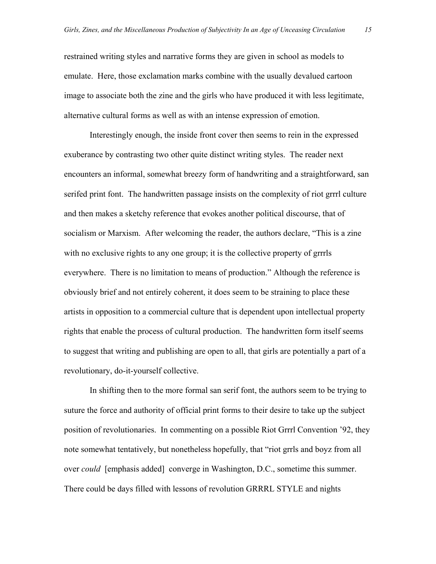restrained writing styles and narrative forms they are given in school as models to emulate. Here, those exclamation marks combine with the usually devalued cartoon image to associate both the zine and the girls who have produced it with less legitimate, alternative cultural forms as well as with an intense expression of emotion.

 Interestingly enough, the inside front cover then seems to rein in the expressed exuberance by contrasting two other quite distinct writing styles. The reader next encounters an informal, somewhat breezy form of handwriting and a straightforward, san serifed print font. The handwritten passage insists on the complexity of riot grrrl culture and then makes a sketchy reference that evokes another political discourse, that of socialism or Marxism. After welcoming the reader, the authors declare, "This is a zine with no exclusive rights to any one group; it is the collective property of grrrls everywhere. There is no limitation to means of production." Although the reference is obviously brief and not entirely coherent, it does seem to be straining to place these artists in opposition to a commercial culture that is dependent upon intellectual property rights that enable the process of cultural production. The handwritten form itself seems to suggest that writing and publishing are open to all, that girls are potentially a part of a revolutionary, do-it-yourself collective.

 In shifting then to the more formal san serif font, the authors seem to be trying to suture the force and authority of official print forms to their desire to take up the subject position of revolutionaries. In commenting on a possible Riot Grrrl Convention '92, they note somewhat tentatively, but nonetheless hopefully, that "riot grrls and boyz from all over *could* [emphasis added] converge in Washington, D.C., sometime this summer. There could be days filled with lessons of revolution GRRRL STYLE and nights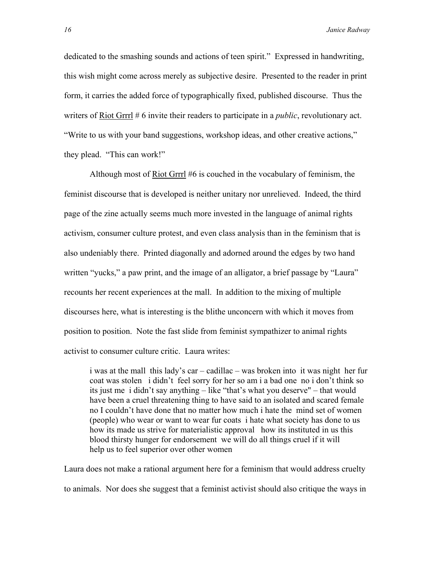dedicated to the smashing sounds and actions of teen spirit." Expressed in handwriting, this wish might come across merely as subjective desire. Presented to the reader in print form, it carries the added force of typographically fixed, published discourse. Thus the writers of Riot Grrrl # 6 invite their readers to participate in a *public*, revolutionary act. "Write to us with your band suggestions, workshop ideas, and other creative actions," they plead. "This can work!"

 Although most of Riot Grrrl #6 is couched in the vocabulary of feminism, the feminist discourse that is developed is neither unitary nor unrelieved. Indeed, the third page of the zine actually seems much more invested in the language of animal rights activism, consumer culture protest, and even class analysis than in the feminism that is also undeniably there. Printed diagonally and adorned around the edges by two hand written "yucks," a paw print, and the image of an alligator, a brief passage by "Laura" recounts her recent experiences at the mall. In addition to the mixing of multiple discourses here, what is interesting is the blithe unconcern with which it moves from position to position. Note the fast slide from feminist sympathizer to animal rights activist to consumer culture critic. Laura writes:

i was at the mall this lady's car – cadillac – was broken into it was night her fur coat was stolen i didn't feel sorry for her so am i a bad one no i don't think so its just me i didn't say anything – like "that's what you deserve" – that would have been a cruel threatening thing to have said to an isolated and scared female no I couldn't have done that no matter how much i hate the mind set of women (people) who wear or want to wear fur coats i hate what society has done to us how its made us strive for materialistic approval how its instituted in us this blood thirsty hunger for endorsement we will do all things cruel if it will help us to feel superior over other women

Laura does not make a rational argument here for a feminism that would address cruelty to animals. Nor does she suggest that a feminist activist should also critique the ways in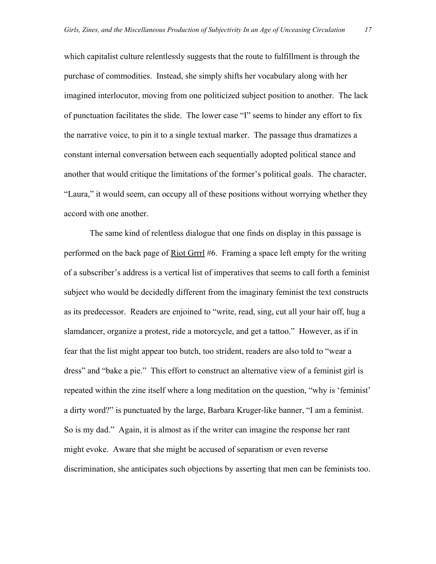which capitalist culture relentlessly suggests that the route to fulfillment is through the purchase of commodities. Instead, she simply shifts her vocabulary along with her imagined interlocutor, moving from one politicized subject position to another. The lack of punctuation facilitates the slide. The lower case "I" seems to hinder any effort to fix the narrative voice, to pin it to a single textual marker. The passage thus dramatizes a constant internal conversation between each sequentially adopted political stance and another that would critique the limitations of the former's political goals. The character, "Laura," it would seem, can occupy all of these positions without worrying whether they accord with one another.

The same kind of relentless dialogue that one finds on display in this passage is performed on the back page of Riot Grrrl #6. Framing a space left empty for the writing of a subscriber's address is a vertical list of imperatives that seems to call forth a feminist subject who would be decidedly different from the imaginary feminist the text constructs as its predecessor. Readers are enjoined to "write, read, sing, cut all your hair off, hug a slamdancer, organize a protest, ride a motorcycle, and get a tattoo." However, as if in fear that the list might appear too butch, too strident, readers are also told to "wear a dress" and "bake a pie." This effort to construct an alternative view of a feminist girl is repeated within the zine itself where a long meditation on the question, "why is 'feminist' a dirty word?" is punctuated by the large, Barbara Kruger-like banner, "I am a feminist. So is my dad." Again, it is almost as if the writer can imagine the response her rant might evoke. Aware that she might be accused of separatism or even reverse discrimination, she anticipates such objections by asserting that men can be feminists too.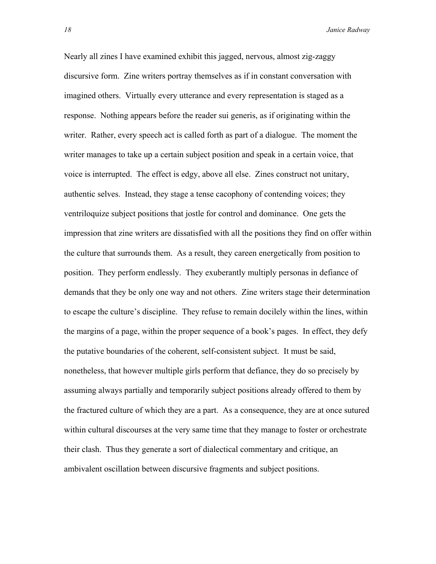Nearly all zines I have examined exhibit this jagged, nervous, almost zig-zaggy discursive form. Zine writers portray themselves as if in constant conversation with imagined others. Virtually every utterance and every representation is staged as a response. Nothing appears before the reader sui generis, as if originating within the writer. Rather, every speech act is called forth as part of a dialogue. The moment the writer manages to take up a certain subject position and speak in a certain voice, that voice is interrupted. The effect is edgy, above all else. Zines construct not unitary, authentic selves. Instead, they stage a tense cacophony of contending voices; they ventriloquize subject positions that jostle for control and dominance. One gets the impression that zine writers are dissatisfied with all the positions they find on offer within the culture that surrounds them. As a result, they careen energetically from position to position. They perform endlessly. They exuberantly multiply personas in defiance of demands that they be only one way and not others. Zine writers stage their determination to escape the culture's discipline. They refuse to remain docilely within the lines, within the margins of a page, within the proper sequence of a book's pages. In effect, they defy the putative boundaries of the coherent, self-consistent subject. It must be said, nonetheless, that however multiple girls perform that defiance, they do so precisely by assuming always partially and temporarily subject positions already offered to them by the fractured culture of which they are a part. As a consequence, they are at once sutured within cultural discourses at the very same time that they manage to foster or orchestrate their clash. Thus they generate a sort of dialectical commentary and critique, an ambivalent oscillation between discursive fragments and subject positions.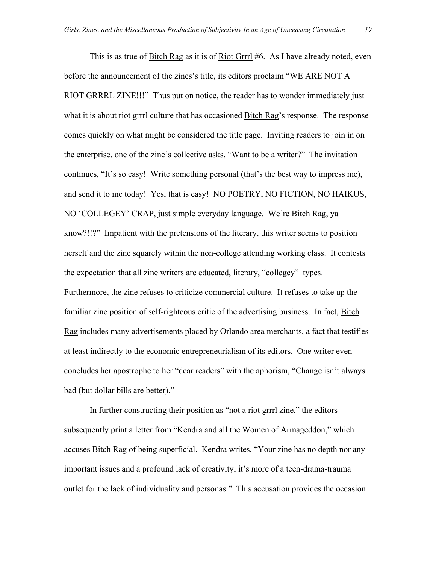This is as true of Bitch Rag as it is of Riot Grrrl #6. As I have already noted, even before the announcement of the zines's title, its editors proclaim "WE ARE NOT A RIOT GRRRL ZINE!!!" Thus put on notice, the reader has to wonder immediately just what it is about riot grrrl culture that has occasioned Bitch Rag's response. The response comes quickly on what might be considered the title page. Inviting readers to join in on the enterprise, one of the zine's collective asks, "Want to be a writer?" The invitation continues, "It's so easy! Write something personal (that's the best way to impress me), and send it to me today! Yes, that is easy! NO POETRY, NO FICTION, NO HAIKUS, NO 'COLLEGEY' CRAP, just simple everyday language. We're Bitch Rag, ya know?!!?" Impatient with the pretensions of the literary, this writer seems to position herself and the zine squarely within the non-college attending working class. It contests the expectation that all zine writers are educated, literary, "collegey" types. Furthermore, the zine refuses to criticize commercial culture. It refuses to take up the familiar zine position of self-righteous critic of the advertising business. In fact, Bitch Rag includes many advertisements placed by Orlando area merchants, a fact that testifies at least indirectly to the economic entrepreneurialism of its editors. One writer even concludes her apostrophe to her "dear readers" with the aphorism, "Change isn't always bad (but dollar bills are better)."

 In further constructing their position as "not a riot grrrl zine," the editors subsequently print a letter from "Kendra and all the Women of Armageddon," which accuses Bitch Rag of being superficial. Kendra writes, "Your zine has no depth nor any important issues and a profound lack of creativity; it's more of a teen-drama-trauma outlet for the lack of individuality and personas." This accusation provides the occasion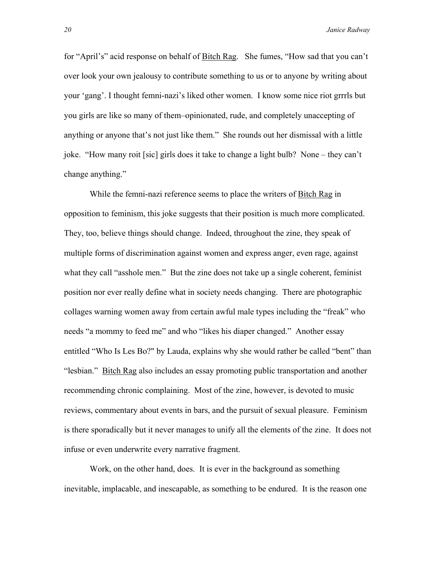for "April's" acid response on behalf of Bitch Rag. She fumes, "How sad that you can't over look your own jealousy to contribute something to us or to anyone by writing about your 'gang'. I thought femni-nazi's liked other women. I know some nice riot grrrls but you girls are like so many of them–opinionated, rude, and completely unaccepting of anything or anyone that's not just like them." She rounds out her dismissal with a little joke. "How many roit [sic] girls does it take to change a light bulb? None – they can't change anything."

While the femni-nazi reference seems to place the writers of Bitch Rag in opposition to feminism, this joke suggests that their position is much more complicated. They, too, believe things should change. Indeed, throughout the zine, they speak of multiple forms of discrimination against women and express anger, even rage, against what they call "asshole men." But the zine does not take up a single coherent, feminist position nor ever really define what in society needs changing. There are photographic collages warning women away from certain awful male types including the "freak" who needs "a mommy to feed me" and who "likes his diaper changed." Another essay entitled "Who Is Les Bo?" by Lauda, explains why she would rather be called "bent" than "lesbian." Bitch Rag also includes an essay promoting public transportation and another recommending chronic complaining. Most of the zine, however, is devoted to music reviews, commentary about events in bars, and the pursuit of sexual pleasure. Feminism is there sporadically but it never manages to unify all the elements of the zine. It does not infuse or even underwrite every narrative fragment.

Work, on the other hand, does. It is ever in the background as something inevitable, implacable, and inescapable, as something to be endured. It is the reason one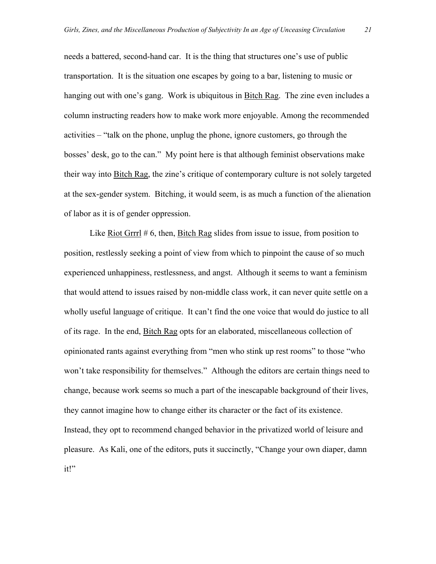needs a battered, second-hand car. It is the thing that structures one's use of public transportation. It is the situation one escapes by going to a bar, listening to music or hanging out with one's gang. Work is ubiquitous in Bitch Rag. The zine even includes a column instructing readers how to make work more enjoyable. Among the recommended activities – "talk on the phone, unplug the phone, ignore customers, go through the bosses' desk, go to the can." My point here is that although feminist observations make their way into Bitch Rag, the zine's critique of contemporary culture is not solely targeted at the sex-gender system. Bitching, it would seem, is as much a function of the alienation of labor as it is of gender oppression.

Like Riot Grrrl  $# 6$ , then, Bitch Rag slides from issue to issue, from position to position, restlessly seeking a point of view from which to pinpoint the cause of so much experienced unhappiness, restlessness, and angst. Although it seems to want a feminism that would attend to issues raised by non-middle class work, it can never quite settle on a wholly useful language of critique. It can't find the one voice that would do justice to all of its rage. In the end, Bitch Rag opts for an elaborated, miscellaneous collection of opinionated rants against everything from "men who stink up rest rooms" to those "who won't take responsibility for themselves." Although the editors are certain things need to change, because work seems so much a part of the inescapable background of their lives, they cannot imagine how to change either its character or the fact of its existence. Instead, they opt to recommend changed behavior in the privatized world of leisure and pleasure. As Kali, one of the editors, puts it succinctly, "Change your own diaper, damn it!"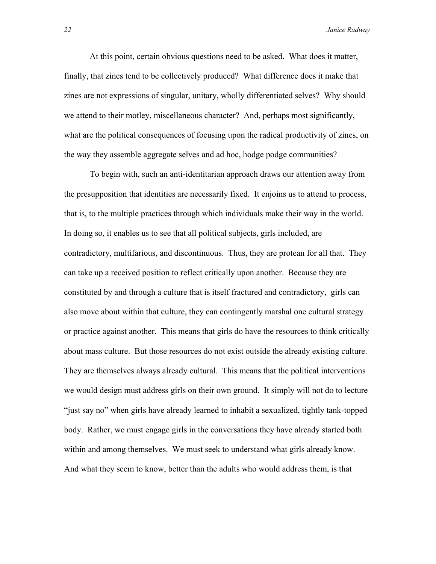At this point, certain obvious questions need to be asked. What does it matter, finally, that zines tend to be collectively produced? What difference does it make that zines are not expressions of singular, unitary, wholly differentiated selves? Why should we attend to their motley, miscellaneous character? And, perhaps most significantly, what are the political consequences of focusing upon the radical productivity of zines, on the way they assemble aggregate selves and ad hoc, hodge podge communities?

To begin with, such an anti-identitarian approach draws our attention away from the presupposition that identities are necessarily fixed. It enjoins us to attend to process, that is, to the multiple practices through which individuals make their way in the world. In doing so, it enables us to see that all political subjects, girls included, are contradictory, multifarious, and discontinuous. Thus, they are protean for all that. They can take up a received position to reflect critically upon another. Because they are constituted by and through a culture that is itself fractured and contradictory, girls can also move about within that culture, they can contingently marshal one cultural strategy or practice against another. This means that girls do have the resources to think critically about mass culture. But those resources do not exist outside the already existing culture. They are themselves always already cultural. This means that the political interventions we would design must address girls on their own ground. It simply will not do to lecture "just say no" when girls have already learned to inhabit a sexualized, tightly tank-topped body. Rather, we must engage girls in the conversations they have already started both within and among themselves. We must seek to understand what girls already know. And what they seem to know, better than the adults who would address them, is that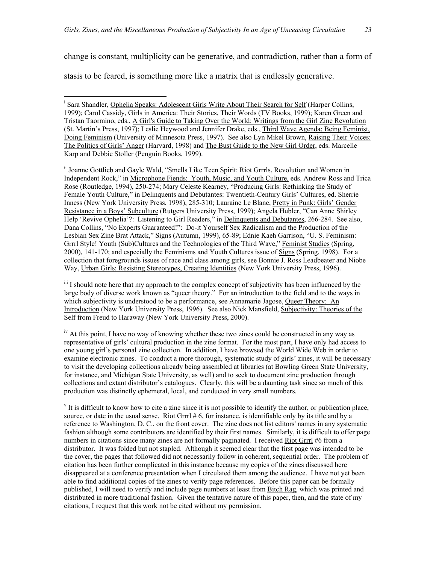change is constant, multiplicity can be generative, and contradiction, rather than a form of

stasis to be feared, is something more like a matrix that is endlessly generative.

 $\overline{a}$ 

ii Joanne Gottlieb and Gayle Wald, "Smells Like Teen Spirit: Riot Grrrls, Revolution and Women in Independent Rock," in Microphone Fiends: Youth, Music, and Youth Culture, eds. Andrew Ross and Trica Rose (Routledge, 1994), 250-274; Mary Celeste Kearney, "Producing Girls: Rethinking the Study of Female Youth Culture," in Delinquents and Debutantes: Twentieth-Century Girls' Cultures, ed. Sherrie Inness (New York University Press, 1998), 285-310; Lauraine Le Blanc, Pretty in Punk: Girls' Gender Resistance in a Boys' Subculture (Rutgers University Press, 1999); Angela Hubler, "Can Anne Shirley Help 'Revive Ophelia'?: Listening to Girl Readers," in Delinquents and Debutantes, 266-284. See also, Dana Collins, "No Experts Guaranteed!": Do-it Yourself Sex Radicalism and the Production of the Lesbian Sex Zine Brat Attack," Signs (Autumn, 1999), 65-89; Ednie Kaeh Garrison, "U. S. Feminism: Grrrl Style! Youth (Sub)Cultures and the Technologies of the Third Wave," Feminist Studies (Spring, 2000), 141-170; and especially the Feminisms and Youth Cultures issue of Signs (Spring, 1998). For a collection that foregrounds issues of race and class among girls, see Bonnie J. Ross Leadbeater and Niobe Way, Urban Girls: Resisting Stereotypes, Creating Identities (New York University Press, 1996).

<sup>iii</sup> I should note here that my approach to the complex concept of subjectivity has been influenced by the large body of diverse work known as "queer theory." For an introduction to the field and to the ways in which subjectivity is understood to be a performance, see Annamarie Jagose, Queer Theory: An Introduction (New York University Press, 1996). See also Nick Mansfield, Subjectivity: Theories of the Self from Freud to Haraway (New York University Press, 2000).

<sup>iv</sup> At this point, I have no way of knowing whether these two zines could be constructed in any way as representative of girls' cultural production in the zine format. For the most part, I have only had access to one young girl's personal zine collection. In addition, I have browsed the World Wide Web in order to examine electronic zines. To conduct a more thorough, systematic study of girls' zines, it will be necessary to visit the developing collections already being assembled at libraries (at Bowling Green State University, for instance, and Michigan State University, as well) and to seek to document zine production through collections and extant distributor's catalogues. Clearly, this will be a daunting task since so much of this production was distinctly ephemeral, local, and conducted in very small numbers.

 $\mathbf v$  It is difficult to know how to cite a zine since it is not possible to identify the author, or publication place, source, or date in the usual sense. Riot Grrrl # 6, for instance, is identifiable only by its title and by a reference to Washington, D. C., on the front cover. The zine does not list editors' names in any systematic fashion although some contributors are identified by their first names. Similarly, it is difficult to offer page numbers in citations since many zines are not formally paginated. I received Riot Grrrl #6 from a distributor. It was folded but not stapled. Although it seemed clear that the first page was intended to be the cover, the pages that followed did not necessarily follow in coherent, sequential order. The problem of citation has been further complicated in this instance because my copies of the zines discussed here disappeared at a conference presentation when I circulated them among the audience. I have not yet been able to find additional copies of the zines to verify page references. Before this paper can be formally published, I will need to verify and include page numbers at least from Bitch Rag, which was printed and distributed in more traditional fashion. Given the tentative nature of this paper, then, and the state of my citations, I request that this work not be cited without my permission.

<sup>&</sup>lt;sup>i</sup> Sara Shandler, Ophelia Speaks: Adolescent Girls Write About Their Search for Self (Harper Collins, 1999); Carol Cassidy, Girls in America: Their Stories, Their Words (TV Books, 1999); Karen Green and Tristan Taormino, eds., A Girl's Guide to Taking Over the World: Writings from the Girl Zine Revolution (St. Martin's Press, 1997); Leslie Heywood and Jennifer Drake, eds., Third Wave Agenda: Being Feminist, Doing Feminism (University of Minnesota Press, 1997). See also Lyn Mikel Brown, Raising Their Voices: The Politics of Girls' Anger (Harvard, 1998) and The Bust Guide to the New Girl Order, eds. Marcelle Karp and Debbie Stoller (Penguin Books, 1999).